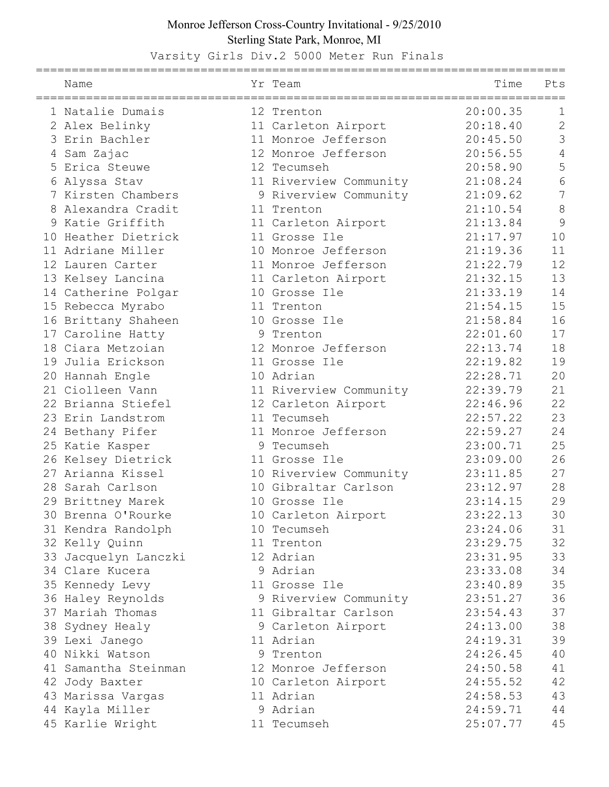## Monroe Jefferson Cross-Country Invitational - 9/25/2010 Sterling State Park, Monroe, MI

Varsity Girls Div.2 5000 Meter Run Finals

| Name                 | Yr Team                | Time     | Pts            |
|----------------------|------------------------|----------|----------------|
| 1 Natalie Dumais     | 12 Trenton             | 20:00.35 | $\mathbf 1$    |
| 2 Alex Belinky       | 11 Carleton Airport    | 20:18.40 | $\overline{2}$ |
| 3 Erin Bachler       | 11 Monroe Jefferson    | 20:45.50 | 3              |
| 4 Sam Zajac          | 12 Monroe Jefferson    | 20:56.55 | 4              |
| 5 Erica Steuwe       | 12 Tecumseh            | 20:58.90 | 5              |
| 6 Alyssa Stav        | 11 Riverview Community | 21:08.24 | 6              |
| 7 Kirsten Chambers   | 9 Riverview Community  | 21:09.62 | $\overline{7}$ |
| 8 Alexandra Cradit   | 11 Trenton             | 21:10.54 | 8              |
| 9 Katie Griffith     | 11 Carleton Airport    | 21:13.84 | 9              |
| 10 Heather Dietrick  | 11 Grosse Ile          | 21:17.97 | 10             |
| 11 Adriane Miller    | 10 Monroe Jefferson    | 21:19.36 | 11             |
| 12 Lauren Carter     | 11 Monroe Jefferson    | 21:22.79 | 12             |
| 13 Kelsey Lancina    | 11 Carleton Airport    | 21:32.15 | 13             |
| 14 Catherine Polgar  | 10 Grosse Ile          | 21:33.19 | 14             |
| 15 Rebecca Myrabo    | 11 Trenton             | 21:54.15 | 15             |
| 16 Brittany Shaheen  | 10 Grosse Ile          | 21:58.84 | 16             |
| 17 Caroline Hatty    | 9 Trenton              | 22:01.60 | 17             |
| 18 Ciara Metzoian    | 12 Monroe Jefferson    | 22:13.74 | 18             |
| 19 Julia Erickson    | 11 Grosse Ile          | 22:19.82 | 19             |
| 20 Hannah Engle      | 10 Adrian              | 22:28.71 | 20             |
| 21 Ciolleen Vann     | 11 Riverview Community | 22:39.79 | 21             |
| 22 Brianna Stiefel   | 12 Carleton Airport    | 22:46.96 | 22             |
| 23 Erin Landstrom    | 11 Tecumseh            | 22:57.22 | 23             |
| 24 Bethany Pifer     | 11 Monroe Jefferson    | 22:59.27 | 24             |
| 25 Katie Kasper      | 9 Tecumseh             | 23:00.71 | 25             |
| 26 Kelsey Dietrick   | 11 Grosse Ile          | 23:09.00 | 26             |
| 27 Arianna Kissel    | 10 Riverview Community | 23:11.85 | 27             |
| 28 Sarah Carlson     | 10 Gibraltar Carlson   | 23:12.97 | 28             |
| 29 Brittney Marek    | 10 Grosse Ile          | 23:14.15 | 29             |
| 30 Brenna O'Rourke   | 10 Carleton Airport    | 23:22.13 | 30             |
| 31 Kendra Randolph   | 10 Tecumseh            | 23:24.06 | 31             |
| 32 Kelly Quinn       | 11 Trenton             | 23:29.75 | 32             |
| 33 Jacquelyn Lanczki | 12 Adrian              | 23:31.95 | 33             |
| 34 Clare Kucera      | 9 Adrian               | 23:33.08 | 34             |
| 35 Kennedy Levy      | 11 Grosse Ile          | 23:40.89 | 35             |
| 36 Haley Reynolds    | 9 Riverview Community  | 23:51.27 | 36             |
| 37 Mariah Thomas     | 11 Gibraltar Carlson   | 23:54.43 | 37             |
| 38 Sydney Healy      | 9 Carleton Airport     | 24:13.00 | 38             |
| 39 Lexi Janego       | 11 Adrian              | 24:19.31 | 39             |
| 40 Nikki Watson      | 9 Trenton              | 24:26.45 | 40             |
| 41 Samantha Steinman | 12 Monroe Jefferson    | 24:50.58 | 41             |
| 42 Jody Baxter       | 10 Carleton Airport    | 24:55.52 | 42             |
| 43 Marissa Vargas    | 11 Adrian              | 24:58.53 | 43             |
| 44 Kayla Miller      | 9 Adrian               | 24:59.71 | 44             |
| 45 Karlie Wright     | 11 Tecumseh            | 25:07.77 | 45             |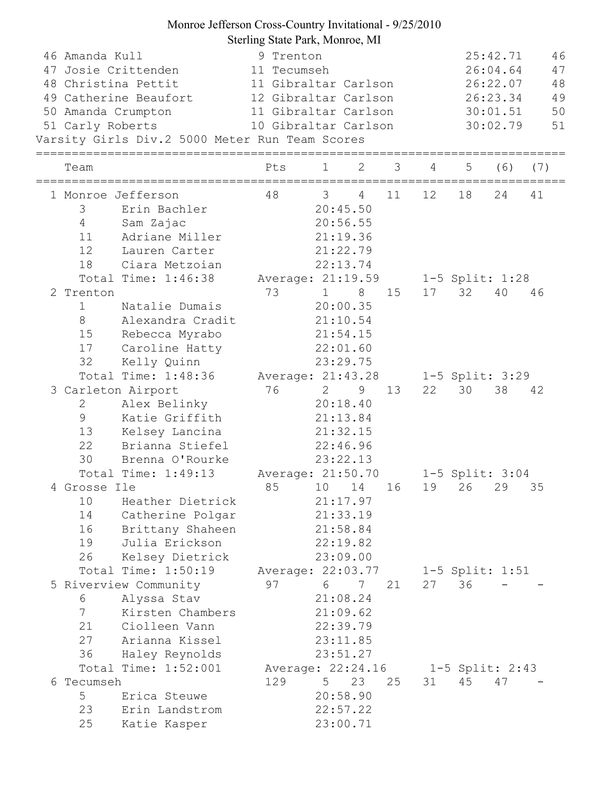## Monroe Jefferson Cross-Country Invitational - 9/25/2010 Sterling State Park, Monroe, MI

| 46 Amanda Kull<br>51 Carly Roberts        | 47 Josie Crittenden<br>48 Christina Pettit<br>49 Catherine Beaufort<br>50 Amanda Crumpton<br>Varsity Girls Div.2 5000 Meter Run Team Scores                                                                     | 9 Trenton<br>11 Tecumseh<br>11 Gibraltar Carlson<br>12 Gibraltar Carlson<br>11 Gibraltar Carlson<br>10 Gibraltar Carlson |                                                 |                                                                             |    |    | 25:42.71<br>26:04.64<br>26:22.07<br>26:23.34<br>30:01.51<br>30:02.79 |                       |     |
|-------------------------------------------|-----------------------------------------------------------------------------------------------------------------------------------------------------------------------------------------------------------------|--------------------------------------------------------------------------------------------------------------------------|-------------------------------------------------|-----------------------------------------------------------------------------|----|----|----------------------------------------------------------------------|-----------------------|-----|
| Team                                      |                                                                                                                                                                                                                 | Pts                                                                                                                      | $\mathbf{1}$                                    | 2                                                                           | 3  | 4  | 5                                                                    | (6)                   | (7) |
| 3<br>$4\overline{ }$<br>11<br>12<br>18    | 1 Monroe Jefferson<br>Erin Bachler<br>Sam Zajac<br>Adriane Miller<br>Lauren Carter<br>Ciara Metzoian                                                                                                            | 48                                                                                                                       | $\overline{3}$                                  | $4\overline{ }$<br>20:45.50<br>20:56.55<br>21:19.36<br>21:22.79<br>22:13.74 | 11 | 12 | 18                                                                   | 24                    | 41  |
|                                           | Total Time: 1:46:38                                                                                                                                                                                             | Average: 21:19.59                                                                                                        |                                                 |                                                                             |    |    |                                                                      | 1-5 Split: 1:28       |     |
| 2 Trenton<br>$\mathbf 1$<br>8<br>17<br>32 | Natalie Dumais<br>Alexandra Cradit<br>15 Rebecca Myrabo<br>Caroline Hatty<br>Kelly Quinn                                                                                                                        | 73                                                                                                                       | 1 8 15<br>21:10.54<br>22:01.60<br>23:29.75      | 20:00.35<br>21:54.15                                                        |    |    | 17 32                                                                | 40                    | 46  |
|                                           | Total Time: 1:48:36                                                                                                                                                                                             | Average: 21:43.28                                                                                                        |                                                 |                                                                             |    |    |                                                                      | $1-5$ Split: 3:29     |     |
| 2<br>9<br>13<br>22<br>30                  | 3 Carleton Airport<br>Alex Belinky<br>Katie Griffith<br>Kelsey Lancina<br>Brianna Stiefel<br>Brenna O'Rourke<br>Total Time: 1:49:13                                                                             | 76<br>Average: 21:50.70   1-5 Split: 3:04                                                                                | $2^{\circ}$<br>20:18.40<br>21:32.15<br>22:46.96 | 9<br>21:13.84<br>23:22.13                                                   | 13 | 22 | 30                                                                   | 38                    | 42  |
| 10<br>14<br>16<br>19<br>26                | 4 Grosse Ile et al. et al. et al. et al. et al. et al. et al. et al. et al. et al. et al. et al. et al. et al.<br>Heather Dietrick<br>Catherine Polgar<br>Brittany Shaheen<br>Julia Erickson<br>Kelsey Dietrick | 85 10 14 16 19 26 29 35                                                                                                  |                                                 | 21:17.97<br>21:33.19<br>21:58.84<br>22:19.82<br>23:09.00                    |    |    |                                                                      |                       |     |
| 6<br>7<br>21<br>27                        | Total Time: 1:50:19<br>5 Riverview Community<br>Alyssa Stav<br>Kirsten Chambers<br>Ciolleen Vann<br>Arianna Kissel<br>36 Haley Reynolds                                                                         | Average: 22:03.77<br>97                                                                                                  | 6                                               | 7<br>21:08.24<br>21:09.62<br>22:39.79<br>23:11.85<br>23:51.27               | 21 |    | 27 36                                                                | 1-5 Split: 1:51       |     |
| 6 Tecumseh<br>5 <sup>5</sup><br>23<br>25  | Total Time: 1:52:001<br>Erica Steuwe<br>Erin Landstrom<br>Katie Kasper                                                                                                                                          | Average: 22:24.16<br>129                                                                                                 | 5 <sub>1</sub>                                  | 23<br>20:58.90<br>22:57.22<br>23:00.71                                      | 25 | 31 | 45                                                                   | 1-5 Split: 2:43<br>47 |     |